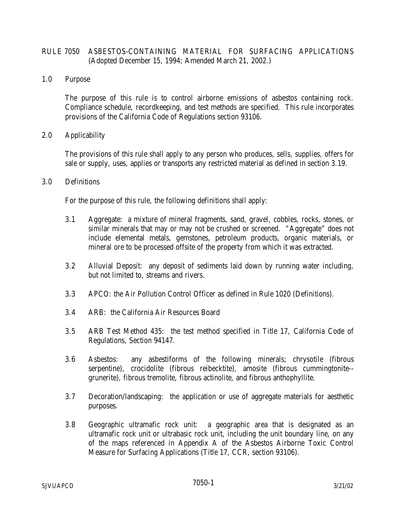# RULE 7050 ASBESTOS-CONTAINING MATERIAL FOR SURFACING APPLICATIONS (Adopted December 15, 1994; Amended March 21, 2002.)

### 1.0 Purpose

 The purpose of this rule is to control airborne emissions of asbestos containing rock. Compliance schedule, recordkeeping, and test methods are specified. This rule incorporates provisions of the California Code of Regulations section 93106.

### 2.0 Applicability

 The provisions of this rule shall apply to any person who produces, sells, supplies, offers for sale or supply, uses, applies or transports any restricted material as defined in section 3.19.

### 3.0 Definitions

For the purpose of this rule, the following definitions shall apply:

- 3.1 Aggregate: a mixture of mineral fragments, sand, gravel, cobbles, rocks, stones, or similar minerals that may or may not be crushed or screened. "Aggregate" does not include elemental metals, gemstones, petroleum products, organic materials, or mineral ore to be processed offsite of the property from which it was extracted.
- 3.2 Alluvial Deposit: any deposit of sediments laid down by running water including, but not limited to, streams and rivers.
- 3.3 APCO: the Air Pollution Control Officer as defined in Rule 1020 (Definitions).
- 3.4 ARB: the California Air Resources Board
- 3.5 ARB Test Method 435: the test method specified in Title 17, California Code of Regulations, Section 94147.
- 3.6 Asbestos: any asbestiforms of the following minerals; chrysotile (fibrous serpentine), crocidolite (fibrous reibecktite), amosite (fibrous cummingtonite- grunerite), fibrous tremolite, fibrous actinolite, and fibrous anthophyllite.
- 3.7 Decoration/landscaping: the application or use of aggregate materials for aesthetic purposes.
- 3.8 Geographic ultramafic rock unit: a geographic area that is designated as an ultramafic rock unit or ultrabasic rock unit, including the unit boundary line, on any of the maps referenced in Appendix A of the Asbestos Airborne Toxic Control Measure for Surfacing Applications (Title 17, CCR, section 93106).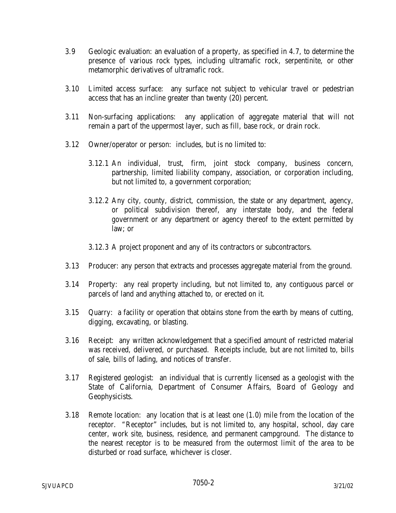- 3.9 Geologic evaluation: an evaluation of a property, as specified in 4.7, to determine the presence of various rock types, including ultramafic rock, serpentinite, or other metamorphic derivatives of ultramafic rock.
- 3.10 Limited access surface: any surface not subject to vehicular travel or pedestrian access that has an incline greater than twenty (20) percent.
- 3.11 Non-surfacing applications: any application of aggregate material that will not remain a part of the uppermost layer, such as fill, base rock, or drain rock.
- 3.12 Owner/operator or person: includes, but is no limited to:
	- 3.12.1 An individual, trust, firm, joint stock company, business concern, partnership, limited liability company, association, or corporation including, but not limited to, a government corporation;
	- 3.12.2 Any city, county, district, commission, the state or any department, agency, or political subdivision thereof, any interstate body, and the federal government or any department or agency thereof to the extent permitted by law; or
	- 3.12.3 A project proponent and any of its contractors or subcontractors.
- 3.13 Producer: any person that extracts and processes aggregate material from the ground.
- 3.14 Property: any real property including, but not limited to, any contiguous parcel or parcels of land and anything attached to, or erected on it.
- 3.15 Quarry: a facility or operation that obtains stone from the earth by means of cutting, digging, excavating, or blasting.
- 3.16 Receipt: any written acknowledgement that a specified amount of restricted material was received, delivered, or purchased. Receipts include, but are not limited to, bills of sale, bills of lading, and notices of transfer.
- 3.17 Registered geologist: an individual that is currently licensed as a geologist with the State of California, Department of Consumer Affairs, Board of Geology and Geophysicists.
- 3.18 Remote location: any location that is at least one (1.0) mile from the location of the receptor. "Receptor" includes, but is not limited to, any hospital, school, day care center, work site, business, residence, and permanent campground. The distance to the nearest receptor is to be measured from the outermost limit of the area to be disturbed or road surface, whichever is closer.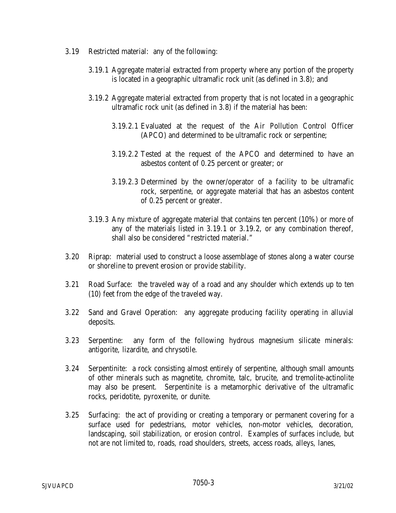- 3.19 Restricted material: any of the following:
	- 3.19.1 Aggregate material extracted from property where any portion of the property is located in a geographic ultramafic rock unit (as defined in 3.8); and
	- 3.19.2 Aggregate material extracted from property that is not located in a geographic ultramafic rock unit (as defined in 3.8) if the material has been:
		- 3.19.2.1 Evaluated at the request of the Air Pollution Control Officer (APCO) and determined to be ultramafic rock or serpentine;
		- 3.19.2.2 Tested at the request of the APCO and determined to have an asbestos content of 0.25 percent or greater; or
		- 3.19.2.3 Determined by the owner/operator of a facility to be ultramafic rock, serpentine, or aggregate material that has an asbestos content of 0.25 percent or greater.
	- 3.19.3 Any mixture of aggregate material that contains ten percent (10%) or more of any of the materials listed in 3.19.1 or 3.19.2, or any combination thereof, shall also be considered "restricted material."
- 3.20 Riprap: material used to construct a loose assemblage of stones along a water course or shoreline to prevent erosion or provide stability.
- 3.21 Road Surface: the traveled way of a road and any shoulder which extends up to ten (10) feet from the edge of the traveled way.
- 3.22 Sand and Gravel Operation: any aggregate producing facility operating in alluvial deposits.
- 3.23 Serpentine: any form of the following hydrous magnesium silicate minerals: antigorite, lizardite, and chrysotile.
- 3.24 Serpentinite: a rock consisting almost entirely of serpentine, although small amounts of other minerals such as magnetite, chromite, talc, brucite, and tremolite-actinolite may also be present. Serpentinite is a metamorphic derivative of the ultramafic rocks, peridotite, pyroxenite, or dunite.
- 3.25 Surfacing: the act of providing or creating a temporary or permanent covering for a surface used for pedestrians, motor vehicles, non-motor vehicles, decoration, landscaping, soil stabilization, or erosion control. Examples of surfaces include, but not are not limited to, roads, road shoulders, streets, access roads, alleys, lanes,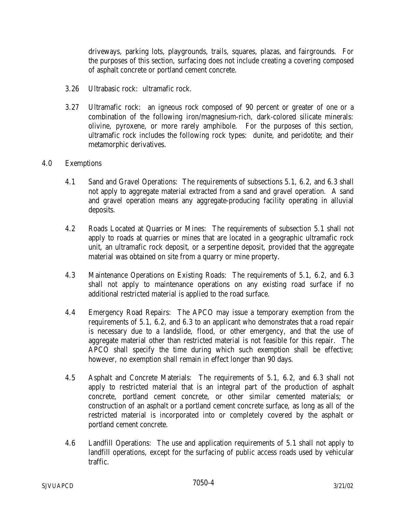driveways, parking lots, playgrounds, trails, squares, plazas, and fairgrounds. For the purposes of this section, surfacing does not include creating a covering composed of asphalt concrete or portland cement concrete.

- 3.26 Ultrabasic rock: ultramafic rock.
- 3.27 Ultramafic rock: an igneous rock composed of 90 percent or greater of one or a combination of the following iron/magnesium-rich, dark-colored silicate minerals: olivine, pyroxene, or more rarely amphibole. For the purposes of this section, ultramafic rock includes the following rock types: dunite, and peridotite; and their metamorphic derivatives.

## 4.0 Exemptions

- 4.1 Sand and Gravel Operations: The requirements of subsections 5.1, 6.2, and 6.3 shall not apply to aggregate material extracted from a sand and gravel operation. A sand and gravel operation means any aggregate-producing facility operating in alluvial deposits.
- 4.2 Roads Located at Quarries or Mines: The requirements of subsection 5.1 shall not apply to roads at quarries or mines that are located in a geographic ultramafic rock unit, an ultramafic rock deposit, or a serpentine deposit, provided that the aggregate material was obtained on site from a quarry or mine property.
- 4.3 Maintenance Operations on Existing Roads: The requirements of 5.1, 6.2, and 6.3 shall not apply to maintenance operations on any existing road surface if no additional restricted material is applied to the road surface.
- 4.4 Emergency Road Repairs: The APCO may issue a temporary exemption from the requirements of 5.1, 6.2, and 6.3 to an applicant who demonstrates that a road repair is necessary due to a landslide, flood, or other emergency, and that the use of aggregate material other than restricted material is not feasible for this repair. The APCO shall specify the time during which such exemption shall be effective; however, no exemption shall remain in effect longer than 90 days.
- 4.5 Asphalt and Concrete Materials: The requirements of 5.1, 6.2, and 6.3 shall not apply to restricted material that is an integral part of the production of asphalt concrete, portland cement concrete, or other similar cemented materials; or construction of an asphalt or a portland cement concrete surface, as long as all of the restricted material is incorporated into or completely covered by the asphalt or portland cement concrete.
- 4.6 Landfill Operations: The use and application requirements of 5.1 shall not apply to landfill operations, except for the surfacing of public access roads used by vehicular traffic.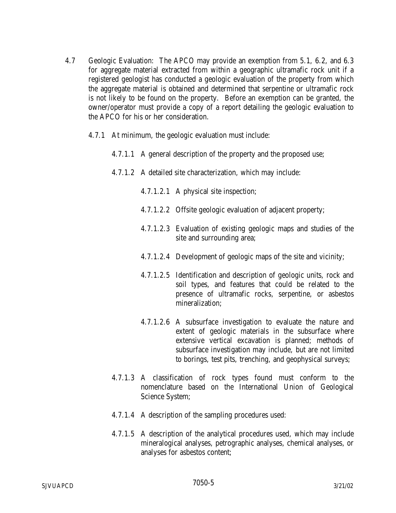- 4.7 Geologic Evaluation: The APCO may provide an exemption from 5.1, 6.2, and 6.3 for aggregate material extracted from within a geographic ultramafic rock unit if a registered geologist has conducted a geologic evaluation of the property from which the aggregate material is obtained and determined that serpentine or ultramafic rock is not likely to be found on the property. Before an exemption can be granted, the owner/operator must provide a copy of a report detailing the geologic evaluation to the APCO for his or her consideration.
	- 4.7.1 At minimum, the geologic evaluation must include:
		- 4.7.1.1 A general description of the property and the proposed use;
		- 4.7.1.2 A detailed site characterization, which may include:
			- 4.7.1.2.1 A physical site inspection;
			- 4.7.1.2.2 Offsite geologic evaluation of adjacent property;
			- 4.7.1.2.3 Evaluation of existing geologic maps and studies of the site and surrounding area;
			- 4.7.1.2.4 Development of geologic maps of the site and vicinity;
			- 4.7.1.2.5 Identification and description of geologic units, rock and soil types, and features that could be related to the presence of ultramafic rocks, serpentine, or asbestos mineralization;
			- 4.7.1.2.6 A subsurface investigation to evaluate the nature and extent of geologic materials in the subsurface where extensive vertical excavation is planned; methods of subsurface investigation may include, but are not limited to borings, test pits, trenching, and geophysical surveys;
		- 4.7.1.3 A classification of rock types found must conform to the nomenclature based on the International Union of Geological Science System;
		- 4.7.1.4 A description of the sampling procedures used:
		- 4.7.1.5 A description of the analytical procedures used, which may include mineralogical analyses, petrographic analyses, chemical analyses, or analyses for asbestos content;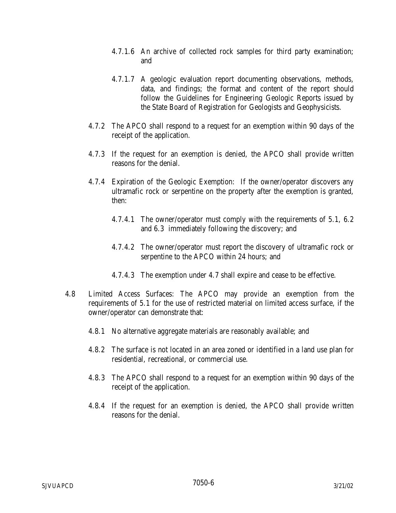- 4.7.1.6 An archive of collected rock samples for third party examination; and
- 4.7.1.7 A geologic evaluation report documenting observations, methods, data, and findings; the format and content of the report should follow the Guidelines for Engineering Geologic Reports issued by the State Board of Registration for Geologists and Geophysicists.
- 4.7.2 The APCO shall respond to a request for an exemption within 90 days of the receipt of the application.
- 4.7.3 If the request for an exemption is denied, the APCO shall provide written reasons for the denial.
- 4.7.4 Expiration of the Geologic Exemption: If the owner/operator discovers any ultramafic rock or serpentine on the property after the exemption is granted, then:
	- 4.7.4.1 The owner/operator must comply with the requirements of 5.1, 6.2 and 6.3 immediately following the discovery; and
	- 4.7.4.2 The owner/operator must report the discovery of ultramafic rock or serpentine to the APCO within 24 hours; and
	- 4.7.4.3 The exemption under 4.7 shall expire and cease to be effective.
- 4.8 Limited Access Surfaces: The APCO may provide an exemption from the requirements of 5.1 for the use of restricted material on limited access surface, if the owner/operator can demonstrate that:
	- 4.8.1 No alternative aggregate materials are reasonably available; and
	- 4.8.2 The surface is not located in an area zoned or identified in a land use plan for residential, recreational, or commercial use.
	- 4.8.3 The APCO shall respond to a request for an exemption within 90 days of the receipt of the application.
	- 4.8.4 If the request for an exemption is denied, the APCO shall provide written reasons for the denial.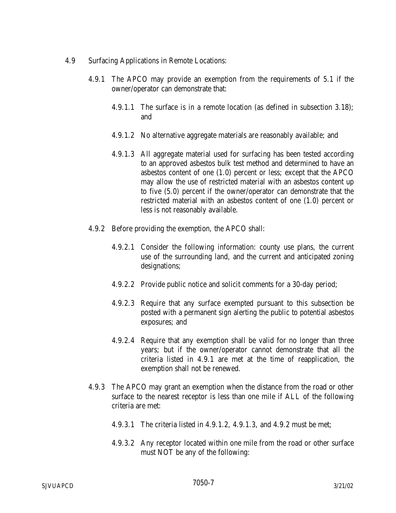- 4.9 Surfacing Applications in Remote Locations:
	- 4.9.1 The APCO may provide an exemption from the requirements of 5.1 if the owner/operator can demonstrate that:
		- 4.9.1.1 The surface is in a remote location (as defined in subsection 3.18); and
		- 4.9.1.2 No alternative aggregate materials are reasonably available; and
		- 4.9.1.3 All aggregate material used for surfacing has been tested according to an approved asbestos bulk test method and determined to have an asbestos content of one (1.0) percent or less; except that the APCO may allow the use of restricted material with an asbestos content up to five (5.0) percent if the owner/operator can demonstrate that the restricted material with an asbestos content of one (1.0) percent or less is not reasonably available.
	- 4.9.2 Before providing the exemption, the APCO shall:
		- 4.9.2.1 Consider the following information: county use plans, the current use of the surrounding land, and the current and anticipated zoning designations;
		- 4.9.2.2 Provide public notice and solicit comments for a 30-day period;
		- 4.9.2.3 Require that any surface exempted pursuant to this subsection be posted with a permanent sign alerting the public to potential asbestos exposures; and
		- 4.9.2.4 Require that any exemption shall be valid for no longer than three years; but if the owner/operator cannot demonstrate that all the criteria listed in 4.9.1 are met at the time of reapplication, the exemption shall not be renewed.
	- 4.9.3 The APCO may grant an exemption when the distance from the road or other surface to the nearest receptor is less than one mile if ALL of the following criteria are met:
		- 4.9.3.1 The criteria listed in 4.9.1.2, 4.9.1.3, and 4.9.2 must be met;
		- 4.9.3.2 Any receptor located within one mile from the road or other surface must NOT be any of the following: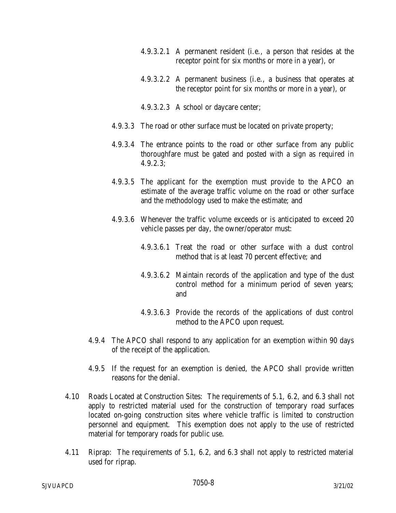- 4.9.3.2.1 A permanent resident (i.e., a person that resides at the receptor point for six months or more in a year), or
- 4.9.3.2.2 A permanent business (i.e., a business that operates at the receptor point for six months or more in a year), or
- 4.9.3.2.3 A school or daycare center;
- 4.9.3.3 The road or other surface must be located on private property;
- 4.9.3.4 The entrance points to the road or other surface from any public thoroughfare must be gated and posted with a sign as required in 4.9.2.3;
- 4.9.3.5 The applicant for the exemption must provide to the APCO an estimate of the average traffic volume on the road or other surface and the methodology used to make the estimate; and
- 4.9.3.6 Whenever the traffic volume exceeds or is anticipated to exceed 20 vehicle passes per day, the owner/operator must:
	- 4.9.3.6.1 Treat the road or other surface with a dust control method that is at least 70 percent effective; and
	- 4.9.3.6.2 Maintain records of the application and type of the dust control method for a minimum period of seven years; and
	- 4.9.3.6.3 Provide the records of the applications of dust control method to the APCO upon request.
- 4.9.4 The APCO shall respond to any application for an exemption within 90 days of the receipt of the application.
- 4.9.5 If the request for an exemption is denied, the APCO shall provide written reasons for the denial.
- 4.10 Roads Located at Construction Sites: The requirements of 5.1, 6.2, and 6.3 shall not apply to restricted material used for the construction of temporary road surfaces located on-going construction sites where vehicle traffic is limited to construction personnel and equipment. This exemption does not apply to the use of restricted material for temporary roads for public use.
- 4.11 Riprap: The requirements of 5.1, 6.2, and 6.3 shall not apply to restricted material used for riprap.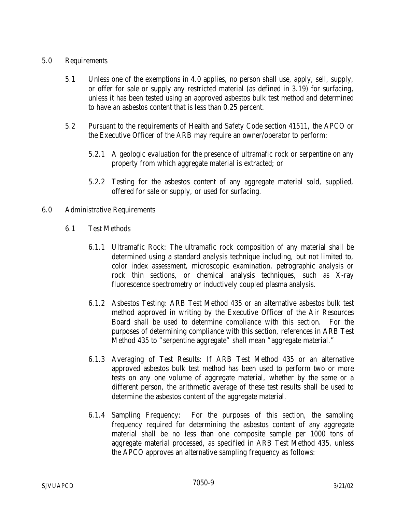## 5.0 Requirements

- 5.1 Unless one of the exemptions in 4.0 applies, no person shall use, apply, sell, supply, or offer for sale or supply any restricted material (as defined in 3.19) for surfacing, unless it has been tested using an approved asbestos bulk test method and determined to have an asbestos content that is less than 0.25 percent.
- 5.2 Pursuant to the requirements of Health and Safety Code section 41511, the APCO or the Executive Officer of the ARB may require an owner/operator to perform:
	- 5.2.1 A geologic evaluation for the presence of ultramafic rock or serpentine on any property from which aggregate material is extracted; or
	- 5.2.2 Testing for the asbestos content of any aggregate material sold, supplied, offered for sale or supply, or used for surfacing.
- 6.0 Administrative Requirements
	- 6.1 Test Methods
		- 6.1.1 Ultramafic Rock: The ultramafic rock composition of any material shall be determined using a standard analysis technique including, but not limited to, color index assessment, microscopic examination, petrographic analysis or rock thin sections, or chemical analysis techniques, such as X-ray fluorescence spectrometry or inductively coupled plasma analysis.
		- 6.1.2 Asbestos Testing: ARB Test Method 435 or an alternative asbestos bulk test method approved in writing by the Executive Officer of the Air Resources Board shall be used to determine compliance with this section. For the purposes of determining compliance with this section, references in ARB Test Method 435 to "serpentine aggregate" shall mean "aggregate material."
		- 6.1.3 Averaging of Test Results: If ARB Test Method 435 or an alternative approved asbestos bulk test method has been used to perform two or more tests on any one volume of aggregate material, whether by the same or a different person, the arithmetic average of these test results shall be used to determine the asbestos content of the aggregate material.
		- 6.1.4 Sampling Frequency: For the purposes of this section, the sampling frequency required for determining the asbestos content of any aggregate material shall be no less than one composite sample per 1000 tons of aggregate material processed, as specified in ARB Test Method 435, unless the APCO approves an alternative sampling frequency as follows: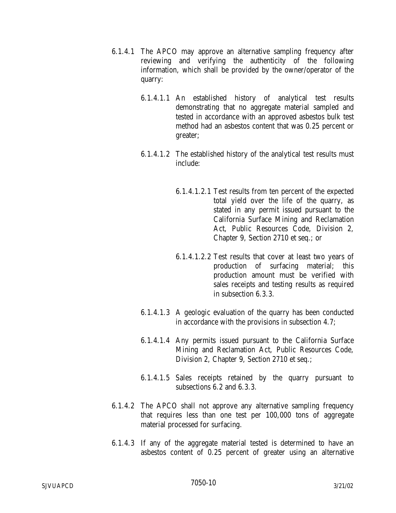- 6.1.4.1 The APCO may approve an alternative sampling frequency after reviewing and verifying the authenticity of the following information, which shall be provided by the owner/operator of the quarry:
	- 6.1.4.1.1 An established history of analytical test results demonstrating that no aggregate material sampled and tested in accordance with an approved asbestos bulk test method had an asbestos content that was 0.25 percent or greater;
	- 6.1.4.1.2 The established history of the analytical test results must include:
		- 6.1.4.1.2.1 Test results from ten percent of the expected total yield over the life of the quarry, as stated in any permit issued pursuant to the California Surface Mining and Reclamation Act, Public Resources Code, Division 2, Chapter 9, Section 2710 et seq.; or
		- 6.1.4.1.2.2 Test results that cover at least two years of production of surfacing material; this production amount must be verified with sales receipts and testing results as required in subsection 6.3.3.
	- 6.1.4.1.3 A geologic evaluation of the quarry has been conducted in accordance with the provisions in subsection 4.7;
	- 6.1.4.1.4 Any permits issued pursuant to the California Surface Mining and Reclamation Act, Public Resources Code, Division 2, Chapter 9, Section 2710 et seq.;
	- 6.1.4.1.5 Sales receipts retained by the quarry pursuant to subsections 6.2 and 6.3.3.
- 6.1.4.2 The APCO shall not approve any alternative sampling frequency that requires less than one test per 100,000 tons of aggregate material processed for surfacing.
- 6.1.4.3 If any of the aggregate material tested is determined to have an asbestos content of 0.25 percent of greater using an alternative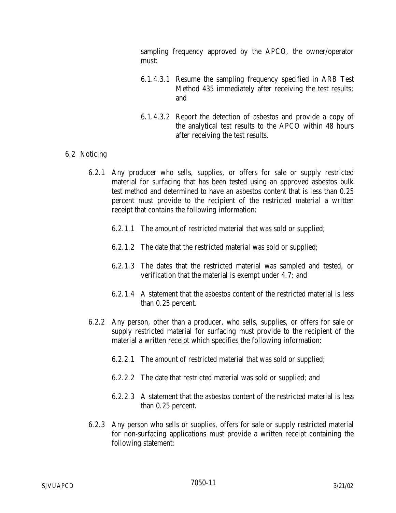sampling frequency approved by the APCO, the owner/operator must:

- 6.1.4.3.1 Resume the sampling frequency specified in ARB Test Method 435 immediately after receiving the test results; and
- 6.1.4.3.2 Report the detection of asbestos and provide a copy of the analytical test results to the APCO within 48 hours after receiving the test results.

## 6.2 Noticing

- 6.2.1 Any producer who sells, supplies, or offers for sale or supply restricted material for surfacing that has been tested using an approved asbestos bulk test method and determined to have an asbestos content that is less than 0.25 percent must provide to the recipient of the restricted material a written receipt that contains the following information:
	- 6.2.1.1 The amount of restricted material that was sold or supplied;
	- 6.2.1.2 The date that the restricted material was sold or supplied;
	- 6.2.1.3 The dates that the restricted material was sampled and tested, or verification that the material is exempt under 4.7; and
	- 6.2.1.4 A statement that the asbestos content of the restricted material is less than 0.25 percent.
- 6.2.2 Any person, other than a producer, who sells, supplies, or offers for sale or supply restricted material for surfacing must provide to the recipient of the material a written receipt which specifies the following information:
	- 6.2.2.1 The amount of restricted material that was sold or supplied;
	- 6.2.2.2 The date that restricted material was sold or supplied; and
	- 6.2.2.3 A statement that the asbestos content of the restricted material is less than 0.25 percent.
- 6.2.3 Any person who sells or supplies, offers for sale or supply restricted material for non-surfacing applications must provide a written receipt containing the following statement: